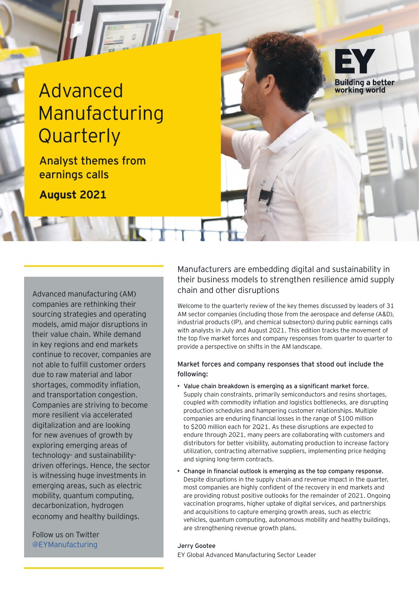# Advanced Manufacturing **Quarterly**

Analyst themes from earnings calls

 $+ + +$ 

**August 2021**

companies are rethinking their sourcing strategies and operating models, amid major disruptions in their value chain. While demand in key regions and end markets continue to recover, companies are not able to fulfill customer orders due to raw material and labor shortages, commodity inflation, and transportation congestion. Companies are striving to become more resilient via accelerated digitalization and are looking for new avenues of growth by exploring emerging areas of technology- and sustainabilitydriven offerings. Hence, the sector is witnessing huge investments in emerging areas, such as electric mobility, quantum computing, decarbonization, hydrogen economy and healthy buildings.

Follow us on Twitter @EYManufacturing Jerry Gootee

Manufacturers are embedding digital and sustainability in their business models to strengthen resilience amid supply chain and other disruptions Advanced manufacturing (AM)

**Building a better** working world

Welcome to the quarterly review of the key themes discussed by leaders of 31 AM sector companies (including those from the aerospace and defense (A&D), industrial products (IP), and chemical subsectors) during public earnings calls with analysts in July and August 2021. This edition tracks the movement of the top five market forces and company responses from quarter to quarter to provide a perspective on shifts in the AM landscape.

#### Market forces and company responses that stood out include the following:

- Value chain breakdown is emerging as a significant market force. Supply chain constraints, primarily semiconductors and resins shortages, coupled with commodity inflation and logistics bottlenecks, are disrupting production schedules and hampering customer relationships. Multiple companies are enduring financial losses in the range of \$100 million to \$200 million each for 2Q21. As these disruptions are expected to endure through 2021, many peers are collaborating with customers and distributors for better visibility, automating production to increase factory utilization, contracting alternative suppliers, implementing price hedging and signing long-term contracts.
- Change in financial outlook is emerging as the top company response. Despite disruptions in the supply chain and revenue impact in the quarter, most companies are highly confident of the recovery in end markets and are providing robust positive outlooks for the remainder of 2021. Ongoing vaccination programs, higher uptake of digital services, and partnerships and acquisitions to capture emerging growth areas, such as electric vehicles, quantum computing, autonomous mobility and healthy buildings, are strengthening revenue growth plans.

EY Global Advanced Manufacturing Sector Leader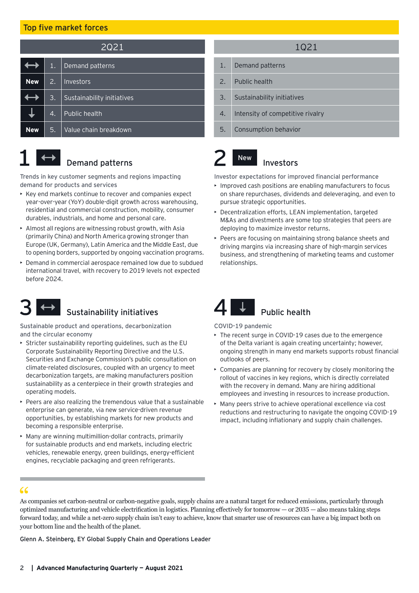#### Top five market forces

| 2Q21       |    |                            |  |
|------------|----|----------------------------|--|
|            | 1. | Demand patterns            |  |
| <b>New</b> | 2. | Investors                  |  |
|            | 3. | Sustainability initiatives |  |
|            | 4. | Public health              |  |
| <b>New</b> | 5. | Value chain breakdown      |  |



## Demand patterns

Trends in key customer segments and regions impacting demand for products and services

- Key end markets continue to recover and companies expect year-over-year (YoY) double-digit growth across warehousing, residential and commercial construction, mobility, consumer durables, industrials, and home and personal care.
- Almost all regions are witnessing robust growth, with Asia (primarily China) and North America growing stronger than Europe (UK, Germany), Latin America and the Middle East, due to opening borders, supported by ongoing vaccination programs.
- Demand in commercial aerospace remained low due to subdued international travel, with recovery to 2019 levels not expected before 2024.



### Sustainability initiatives

Sustainable product and operations, decarbonization and the circular economy

- Stricter sustainability reporting guidelines, such as the EU Corporate Sustainability Reporting Directive and the U.S. Securities and Exchange Commission's public consultation on climate-related disclosures, coupled with an urgency to meet decarbonization targets, are making manufacturers position sustainability as a centerpiece in their growth strategies and operating models.
- Peers are also realizing the tremendous value that a sustainable enterprise can generate, via new service-driven revenue opportunities, by establishing markets for new products and becoming a responsible enterprise.
- Many are winning multimillion-dollar contracts, primarily for sustainable products and end markets, including electric vehicles, renewable energy, green buildings, energy-efficient engines, recyclable packaging and green refrigerants.

#### 1Q21

- 1. Demand patterns
- 2. Public health
- 3. Sustainability initiatives
- 4. Intensity of competitive rivalry
- 5. Consumption behavior

#### Investors New

Investor expectations for improved financial performance

- Improved cash positions are enabling manufacturers to focus on share repurchases, dividends and deleveraging, and even to pursue strategic opportunities.
- Decentralization efforts, LEAN implementation, targeted M&As and divestments are some top strategies that peers are deploying to maximize investor returns.
- Peers are focusing on maintaining strong balance sheets and driving margins via increasing share of high-margin services business, and strengthening of marketing teams and customer relationships.



COVID-19 pandemic

- The recent surge in COVID-19 cases due to the emergence of the Delta variant is again creating uncertainty; however, ongoing strength in many end markets supports robust financial outlooks of peers.
- Companies are planning for recovery by closely monitoring the rollout of vaccines in key regions, which is directly correlated with the recovery in demand. Many are hiring additional employees and investing in resources to increase production.
- Many peers strive to achieve operational excellence via cost reductions and restructuring to navigate the ongoing COVID-19 impact, including inflationary and supply chain challenges.

As companies set carbon-neutral or carbon-negative goals, supply chains are a natural target for reduced emissions, particularly through optimized manufacturing and vehicle electrification in logistics. Planning effectively for tomorrow — or 2035 — also means taking steps forward today, and while a net-zero supply chain isn't easy to achieve, know that smarter use of resources can have a big impact both on your bottom line and the health of the planet.  $\begin{array}{c} 66 \\ \text{As} \\ \text{opt} \end{array}$ 

Glenn A. Steinberg, EY Global Supply Chain and Operations Leader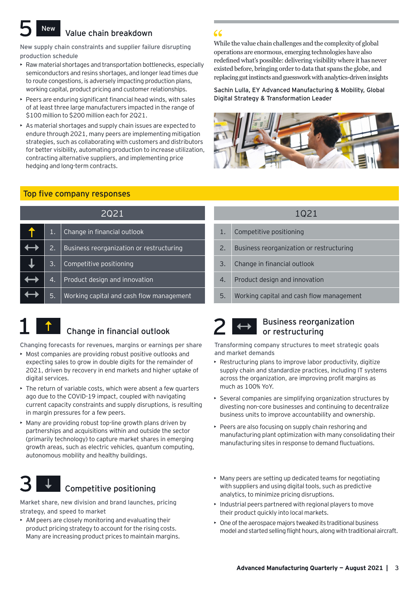#### Value chain breakdown **New**

New supply chain constraints and supplier failure disrupting production schedule

- Raw material shortages and transportation bottlenecks, especially semiconductors and resins shortages, and longer lead times due to route congestions, is adversely impacting production plans, working capital, product pricing and customer relationships.
- Peers are enduring significant financial head winds, with sales of at least three large manufacturers impacted in the range of \$100 million to \$200 million each for 2Q21.
- As material shortages and supply chain issues are expected to endure through 2021, many peers are implementing mitigation strategies, such as collaborating with customers and distributors for better visibility, automating production to increase utilization, contracting alternative suppliers, and implementing price hedging and long-term contracts.

#### Top five company responses

| 2021 |    |                                          |  |
|------|----|------------------------------------------|--|
|      | 1. | Change in financial outlook              |  |
|      | 2. | Business reorganization or restructuring |  |
|      | 3. | Competitive positioning                  |  |
|      | 4. | Product design and innovation            |  |
|      | 5. | Working capital and cash flow management |  |



## Change in financial outlook

Changing forecasts for revenues, margins or earnings per share

- Most companies are providing robust positive outlooks and expecting sales to grow in double digits for the remainder of 2021, driven by recovery in end markets and higher uptake of digital services.
- The return of variable costs, which were absent a few quarters ago due to the COVID-19 impact, coupled with navigating current capacity constraints and supply disruptions, is resulting in margin pressures for a few peers.
- Many are providing robust top-line growth plans driven by partnerships and acquisitions within and outside the sector (primarily technology) to capture market shares in emerging growth areas, such as electric vehicles, quantum computing, autonomous mobility and healthy buildings.



Market share, new division and brand launches, pricing strategy, and speed to market

• AM peers are closely monitoring and evaluating their product pricing strategy to account for the rising costs. Many are increasing product prices to maintain margins.

### While the value chain challenges and the complexity of global  $\epsilon$ <br>While the value chain challenges and the complexity of glob<br>operations are enormous, emerging technologies have also redefined what's possible: delivering visibility where it has never existed before, bringing order to data that spans the globe, and replacing gut instincts and guesswork with analytics-driven insights

Sachin Lulla, EY Advanced Manufacturing & Mobility, Global Digital Strategy & Transformation Leader



#### 1Q21

- 1. Competitive positioning
- 2. Business reorganization or restructuring
- 3. Change in financial outlook
- 4. Product design and innovation
- 5. Working capital and cash flow management

## Business reorganization or restructuring

Transforming company structures to meet strategic goals and market demands

- Restructuring plans to improve labor productivity, digitize supply chain and standardize practices, including IT systems across the organization, are improving profit margins as much as 100% YoY.
- Several companies are simplifying organization structures by divesting non-core businesses and continuing to decentralize business units to improve accountability and ownership.
- Peers are also focusing on supply chain reshoring and manufacturing plant optimization with many consolidating their manufacturing sites in response to demand fluctuations.
- Many peers are setting up dedicated teams for negotiating with suppliers and using digital tools, such as predictive analytics, to minimize pricing disruptions.
- Industrial peers partnered with regional players to move their product quickly into local markets.
- One of the aerospace majors tweaked its traditional business model and started selling flight hours, along with traditional aircraft.